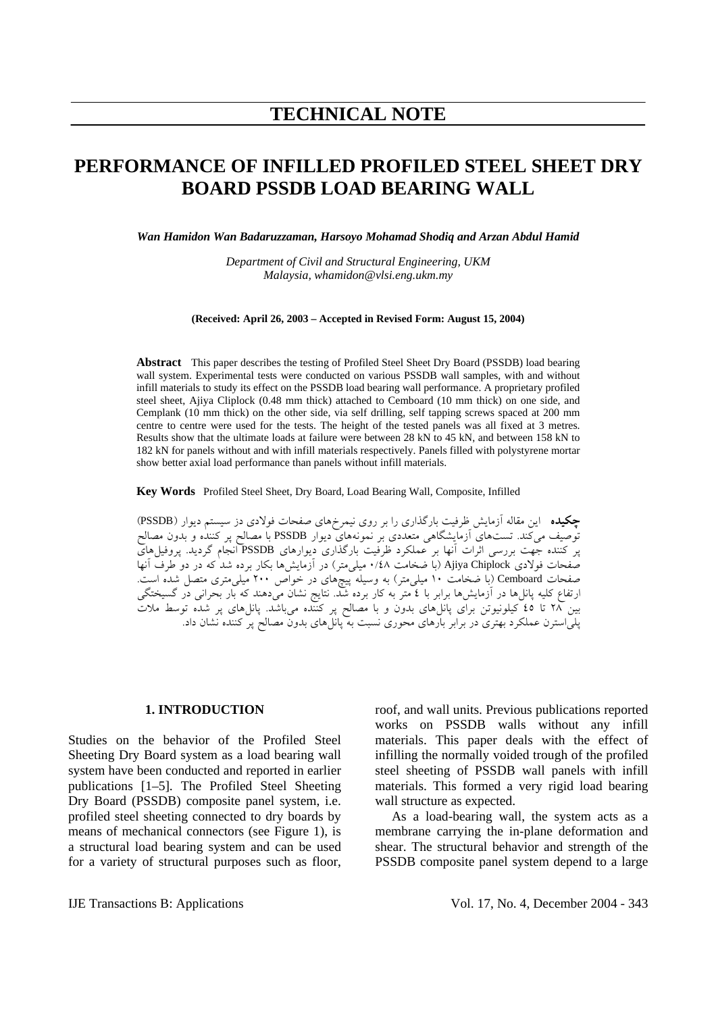# **PERFORMANCE OF INFILLED PROFILED STEEL SHEET DRY BOARD PSSDB LOAD BEARING WALL**

*Wan Hamidon Wan Badaruzzaman, Harsoyo Mohamad Shodiq and Arzan Abdul Hamid* 

*Department of Civil and Structural Engineering, UKM Malaysia, whamidon@vlsi.eng.ukm.my* 

**(Received: April 26, 2003 – Accepted in Revised Form: August 15, 2004)** 

**Abstract** This paper describes the testing of Profiled Steel Sheet Dry Board (PSSDB) load bearing wall system. Experimental tests were conducted on various PSSDB wall samples, with and without infill materials to study its effect on the PSSDB load bearing wall performance. A proprietary profiled steel sheet, Ajiya Cliplock (0.48 mm thick) attached to Cemboard (10 mm thick) on one side, and Cemplank (10 mm thick) on the other side, via self drilling, self tapping screws spaced at 200 mm centre to centre were used for the tests. The height of the tested panels was all fixed at 3 metres. Results show that the ultimate loads at failure were between 28 kN to 45 kN, and between 158 kN to 182 kN for panels without and with infill materials respectively. Panels filled with polystyrene mortar show better axial load performance than panels without infill materials.

**Key Words** Profiled Steel Sheet, Dry Board, Load Bearing Wall, Composite, Infilled

**چكيده** اين مقاله آزمايش ظرفيت بارگذاري را بر روي نيمرخهاي صفحات فولادي دز سيستم ديوار (PSSDB( توصيف ميكند. تستهاي آزمايشگاهي متعددي بر نمونههاي ديوار PSSDB با مصالح پر كننده و بدون مصالح پر كننده جهت بررسي اثرات آنها بر عملكرد ظرفيت بارگذاري ديوارهاي PSSDB انجام گرديد. پروفيلهاي صفحات فولادي Chiplock Ajiya) با ضخامت ٠/٤٨ ميليمتر) در آزمايشها بكار برده شد كه در دو طرف آنها صفحات Cemboard) با ضخامت ١٠ ميليمتر) به وسيله پيچهاي در خواص ٢٠٠ ميليمتري متصل شده است. ارتفاع كليه پانلها در آزمايشها برابر با ٤ متر به كار برده شد. نتايج نشان ميدهند كه بار بحراني در گسيختگي بين ٢٨ تا ٤٥ كيلونيوتن براي پانلهاي بدون و با مصالح پر كننده ميباشد. پانلهاي پر شده توسط ملات پلياسترن عملكرد بهتري در برابر بارهاي محوري نسبت به پانلهاي بدون مصالح پر كننده نشان داد.

#### **1. INTRODUCTION**

Studies on the behavior of the Profiled Steel Sheeting Dry Board system as a load bearing wall system have been conducted and reported in earlier publications [1–5]. The Profiled Steel Sheeting Dry Board (PSSDB) composite panel system, i.e. profiled steel sheeting connected to dry boards by means of mechanical connectors (see Figure 1), is a structural load bearing system and can be used for a variety of structural purposes such as floor, roof, and wall units. Previous publications reported works on PSSDB walls without any infill materials. This paper deals with the effect of infilling the normally voided trough of the profiled steel sheeting of PSSDB wall panels with infill materials. This formed a very rigid load bearing wall structure as expected.

 As a load-bearing wall, the system acts as a membrane carrying the in-plane deformation and shear. The structural behavior and strength of the PSSDB composite panel system depend to a large

IJE Transactions B: Applications Vol. 17, No. 4, December 2004 - 343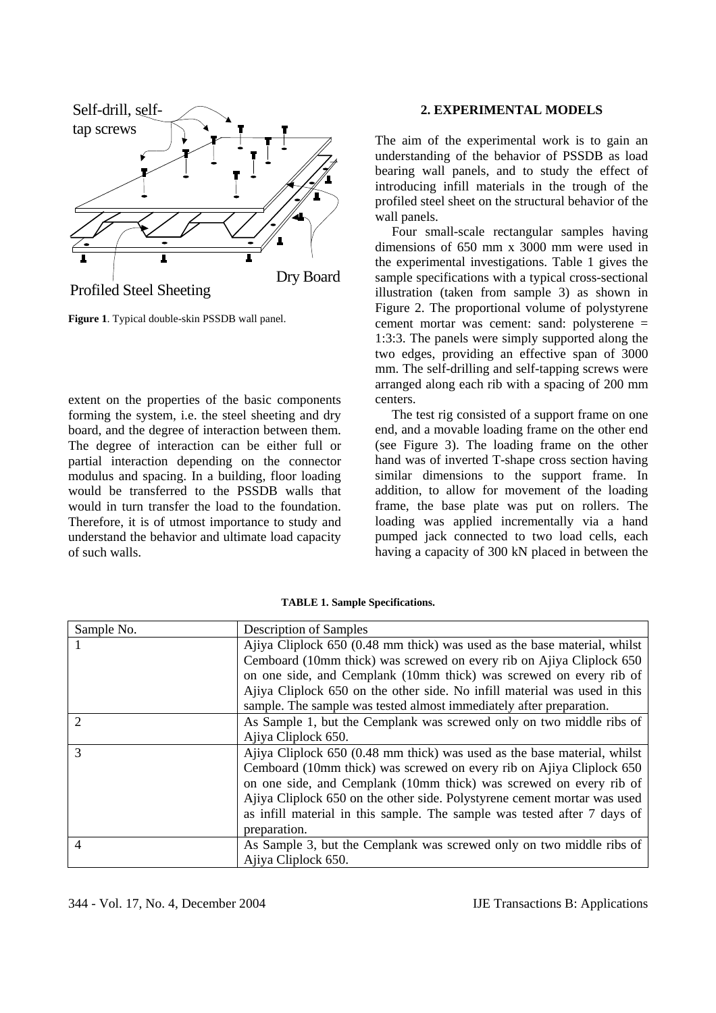

**Figure 1**. Typical double-skin PSSDB wall panel.

extent on the properties of the basic components forming the system, i.e. the steel sheeting and dry board, and the degree of interaction between them. The degree of interaction can be either full or partial interaction depending on the connector modulus and spacing. In a building, floor loading would be transferred to the PSSDB walls that would in turn transfer the load to the foundation. Therefore, it is of utmost importance to study and understand the behavior and ultimate load capacity of such walls.

### **2. EXPERIMENTAL MODELS**

The aim of the experimental work is to gain an understanding of the behavior of PSSDB as load bearing wall panels, and to study the effect of introducing infill materials in the trough of the profiled steel sheet on the structural behavior of the wall panels.

 Four small-scale rectangular samples having dimensions of 650 mm x 3000 mm were used in the experimental investigations. Table 1 gives the sample specifications with a typical cross-sectional illustration (taken from sample 3) as shown in Figure 2. The proportional volume of polystyrene cement mortar was cement: sand: polysterene = 1:3:3. The panels were simply supported along the two edges, providing an effective span of 3000 mm. The self-drilling and self-tapping screws were arranged along each rib with a spacing of 200 mm centers.

 The test rig consisted of a support frame on one end, and a movable loading frame on the other end (see Figure 3). The loading frame on the other hand was of inverted T-shape cross section having similar dimensions to the support frame. In addition, to allow for movement of the loading frame, the base plate was put on rollers. The loading was applied incrementally via a hand pumped jack connected to two load cells, each having a capacity of 300 kN placed in between the

| Sample No.                  | <b>Description of Samples</b>                                             |
|-----------------------------|---------------------------------------------------------------------------|
|                             | Ajiya Cliplock 650 (0.48 mm thick) was used as the base material, whilst  |
|                             | Cemboard (10mm thick) was screwed on every rib on Ajiya Cliplock 650      |
|                             | on one side, and Cemplank (10mm thick) was screwed on every rib of        |
|                             | Ajiya Cliplock 650 on the other side. No infill material was used in this |
|                             | sample. The sample was tested almost immediately after preparation.       |
| $\mathcal{D}_{\mathcal{L}}$ | As Sample 1, but the Cemplank was screwed only on two middle ribs of      |
|                             | Ajiya Cliplock 650.                                                       |
| $\mathcal{R}$               | Ajiya Cliplock 650 (0.48 mm thick) was used as the base material, whilst  |
|                             | Cemboard (10mm thick) was screwed on every rib on Ajiya Cliplock 650      |
|                             | on one side, and Cemplank (10mm thick) was screwed on every rib of        |
|                             | Ajiya Cliplock 650 on the other side. Polystyrene cement mortar was used  |
|                             | as infill material in this sample. The sample was tested after 7 days of  |
|                             | preparation.                                                              |
| $\overline{4}$              | As Sample 3, but the Cemplank was screwed only on two middle ribs of      |
|                             | Ajiya Cliplock 650.                                                       |

**TABLE 1. Sample Specifications.**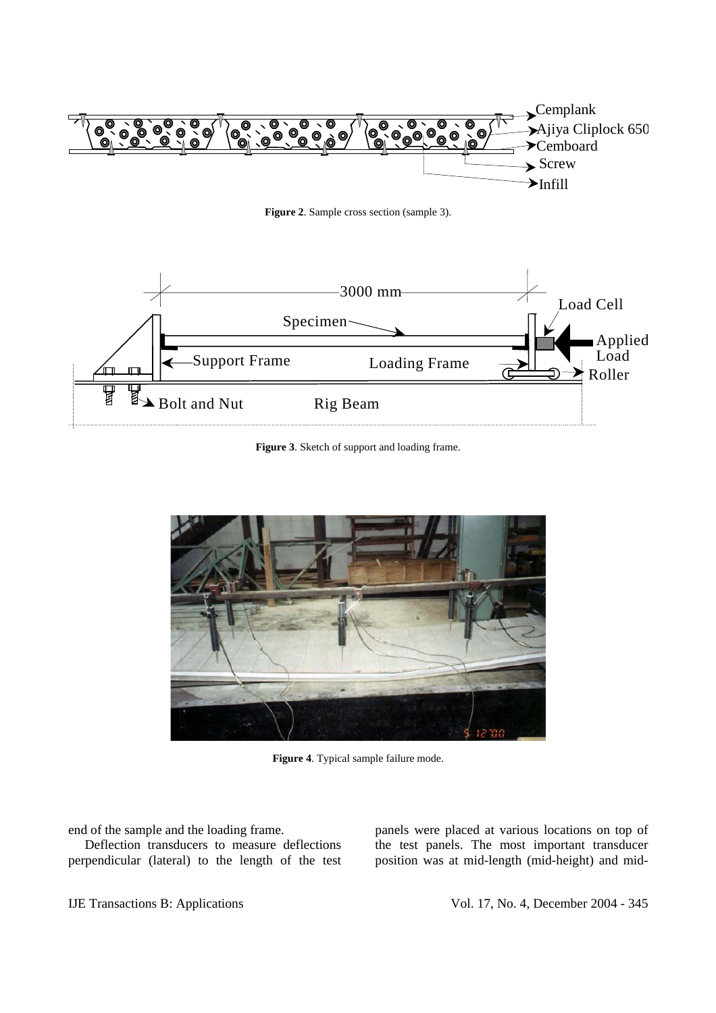

**Figure 2**. Sample cross section (sample 3).



**Figure 3**. Sketch of support and loading frame.



**Figure 4**. Typical sample failure mode.

end of the sample and the loading frame.

 Deflection transducers to measure deflections perpendicular (lateral) to the length of the test panels were placed at various locations on top of the test panels. The most important transducer position was at mid-length (mid-height) and mid-

IJE Transactions B: Applications Intervalse vol. 17, No. 4, December 2004 - 345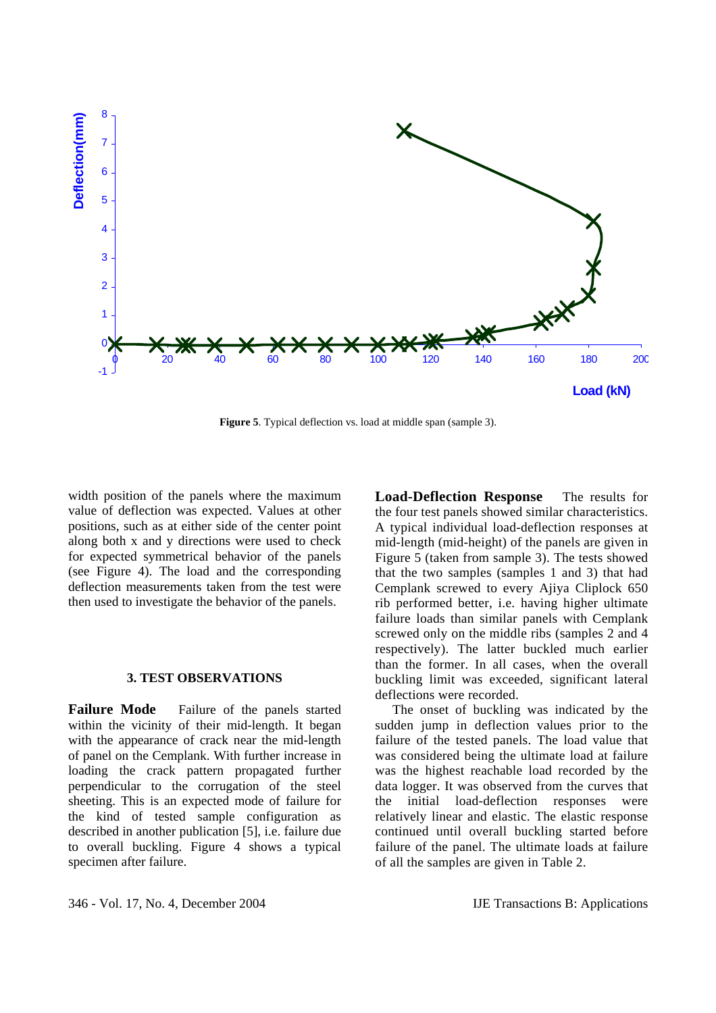

**Figure 5**. Typical deflection vs. load at middle span (sample 3).

width position of the panels where the maximum value of deflection was expected. Values at other positions, such as at either side of the center point along both x and y directions were used to check for expected symmetrical behavior of the panels (see Figure 4). The load and the corresponding deflection measurements taken from the test were then used to investigate the behavior of the panels.

## **3. TEST OBSERVATIONS**

**Failure Mode** Failure of the panels started within the vicinity of their mid-length. It began with the appearance of crack near the mid-length of panel on the Cemplank. With further increase in loading the crack pattern propagated further perpendicular to the corrugation of the steel sheeting. This is an expected mode of failure for the kind of tested sample configuration as described in another publication [5], i.e. failure due to overall buckling. Figure 4 shows a typical specimen after failure.

**Load-Deflection Response** The results for the four test panels showed similar characteristics. A typical individual load-deflection responses at mid-length (mid-height) of the panels are given in Figure 5 (taken from sample 3). The tests showed that the two samples (samples 1 and 3) that had Cemplank screwed to every Ajiya Cliplock 650 rib performed better, i.e. having higher ultimate failure loads than similar panels with Cemplank screwed only on the middle ribs (samples 2 and 4 respectively). The latter buckled much earlier than the former. In all cases, when the overall buckling limit was exceeded, significant lateral deflections were recorded.

 The onset of buckling was indicated by the sudden jump in deflection values prior to the failure of the tested panels. The load value that was considered being the ultimate load at failure was the highest reachable load recorded by the data logger. It was observed from the curves that the initial load-deflection responses were relatively linear and elastic. The elastic response continued until overall buckling started before failure of the panel. The ultimate loads at failure of all the samples are given in Table 2.

346 - Vol. 17, No. 4, December 2004 IJE Transactions B: Applications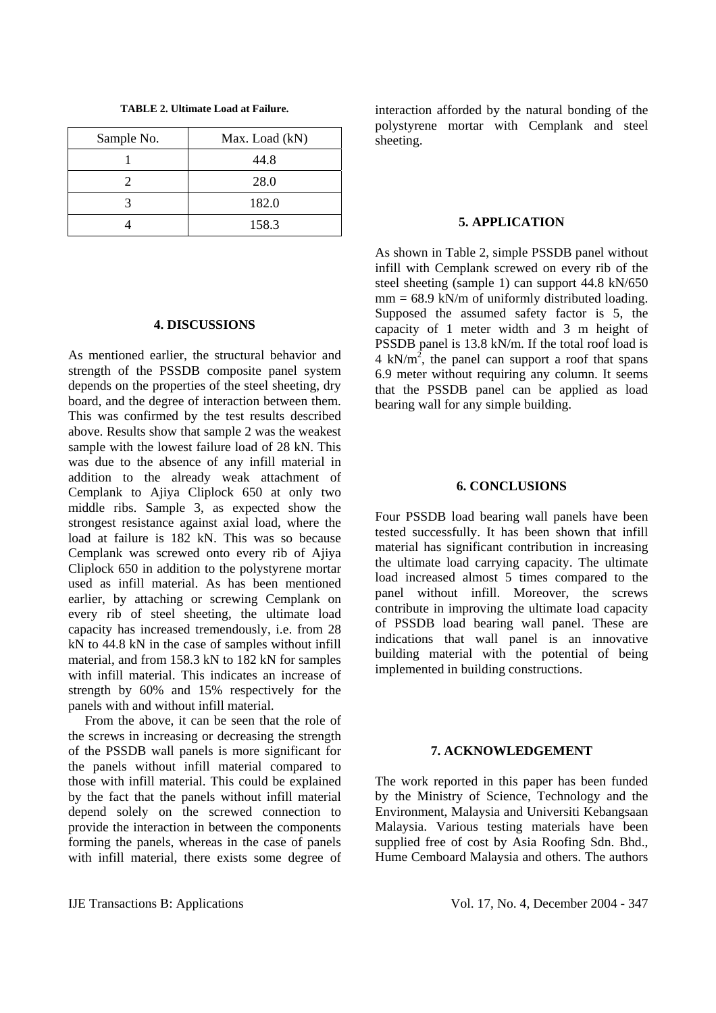**TABLE 2. Ultimate Load at Failure.** 

| Sample No. | Max. Load (kN) |
|------------|----------------|
|            | 44.8           |
|            | 28.0           |
|            | 182.0          |
|            | 158.3          |

## **4. DISCUSSIONS**

As mentioned earlier, the structural behavior and strength of the PSSDB composite panel system depends on the properties of the steel sheeting, dry board, and the degree of interaction between them. This was confirmed by the test results described above. Results show that sample 2 was the weakest sample with the lowest failure load of 28 kN. This was due to the absence of any infill material in addition to the already weak attachment of Cemplank to Ajiya Cliplock 650 at only two middle ribs. Sample 3, as expected show the strongest resistance against axial load, where the load at failure is 182 kN. This was so because Cemplank was screwed onto every rib of Ajiya Cliplock 650 in addition to the polystyrene mortar used as infill material. As has been mentioned earlier, by attaching or screwing Cemplank on every rib of steel sheeting, the ultimate load capacity has increased tremendously, i.e. from 28 kN to 44.8 kN in the case of samples without infill material, and from 158.3 kN to 182 kN for samples with infill material. This indicates an increase of strength by 60% and 15% respectively for the panels with and without infill material.

 From the above, it can be seen that the role of the screws in increasing or decreasing the strength of the PSSDB wall panels is more significant for the panels without infill material compared to those with infill material. This could be explained by the fact that the panels without infill material depend solely on the screwed connection to provide the interaction in between the components forming the panels, whereas in the case of panels with infill material, there exists some degree of

interaction afforded by the natural bonding of the polystyrene mortar with Cemplank and steel sheeting.

## **5. APPLICATION**

As shown in Table 2, simple PSSDB panel without infill with Cemplank screwed on every rib of the steel sheeting (sample 1) can support 44.8 kN/650  $mm = 68.9$  kN/m of uniformly distributed loading. Supposed the assumed safety factor is 5, the capacity of 1 meter width and 3 m height of PSSDB panel is 13.8 kN/m. If the total roof load is 4 kN/m<sup>2</sup>, the panel can support a roof that spans 6.9 meter without requiring any column. It seems that the PSSDB panel can be applied as load bearing wall for any simple building.

### **6. CONCLUSIONS**

Four PSSDB load bearing wall panels have been tested successfully. It has been shown that infill material has significant contribution in increasing the ultimate load carrying capacity. The ultimate load increased almost 5 times compared to the panel without infill. Moreover, the screws contribute in improving the ultimate load capacity of PSSDB load bearing wall panel. These are indications that wall panel is an innovative building material with the potential of being implemented in building constructions.

### **7. ACKNOWLEDGEMENT**

The work reported in this paper has been funded by the Ministry of Science, Technology and the Environment, Malaysia and Universiti Kebangsaan Malaysia. Various testing materials have been supplied free of cost by Asia Roofing Sdn. Bhd., Hume Cemboard Malaysia and others. The authors